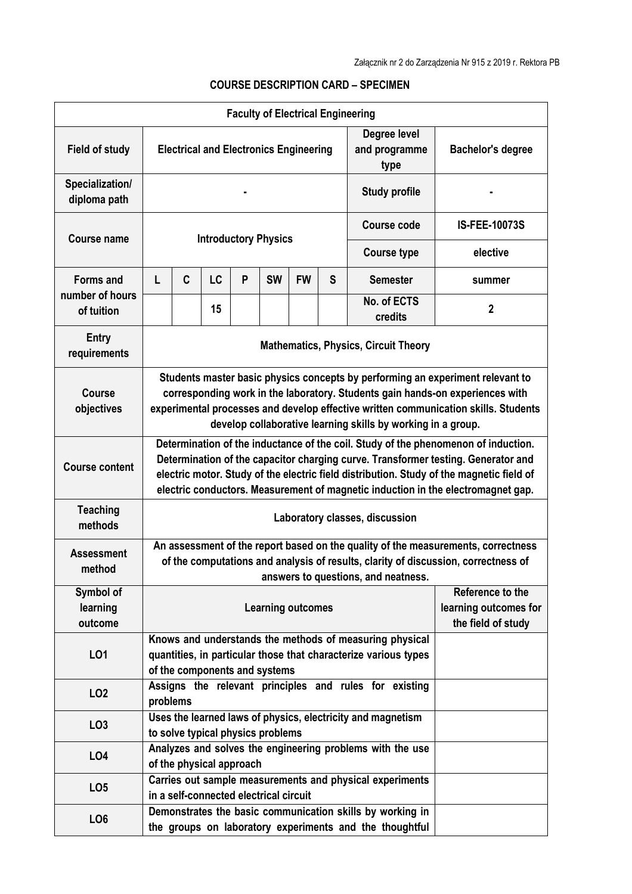|                                     |                                                                                                                                                                                                                                                                                                                                                         |                                                                                                                                                             |    |   | <b>Faculty of Electrical Engineering</b> |           |   |                                                             |                          |  |
|-------------------------------------|---------------------------------------------------------------------------------------------------------------------------------------------------------------------------------------------------------------------------------------------------------------------------------------------------------------------------------------------------------|-------------------------------------------------------------------------------------------------------------------------------------------------------------|----|---|------------------------------------------|-----------|---|-------------------------------------------------------------|--------------------------|--|
| <b>Field of study</b>               | <b>Electrical and Electronics Engineering</b>                                                                                                                                                                                                                                                                                                           |                                                                                                                                                             |    |   |                                          |           |   | Degree level<br>and programme<br>type                       | <b>Bachelor's degree</b> |  |
| Specialization/<br>diploma path     |                                                                                                                                                                                                                                                                                                                                                         |                                                                                                                                                             |    |   |                                          |           |   | <b>Study profile</b>                                        |                          |  |
| <b>Course name</b>                  | <b>Introductory Physics</b>                                                                                                                                                                                                                                                                                                                             |                                                                                                                                                             |    |   |                                          |           |   | <b>Course code</b>                                          | <b>IS-FEE-10073S</b>     |  |
|                                     |                                                                                                                                                                                                                                                                                                                                                         |                                                                                                                                                             |    |   |                                          |           |   | <b>Course type</b>                                          | elective                 |  |
| <b>Forms and</b><br>number of hours | L                                                                                                                                                                                                                                                                                                                                                       | C                                                                                                                                                           | LC | P | <b>SW</b>                                | <b>FW</b> | S | <b>Semester</b>                                             | summer                   |  |
| of tuition                          |                                                                                                                                                                                                                                                                                                                                                         |                                                                                                                                                             | 15 |   |                                          |           |   | No. of ECTS<br>credits                                      | $\mathbf{2}$             |  |
| <b>Entry</b><br>requirements        | <b>Mathematics, Physics, Circuit Theory</b>                                                                                                                                                                                                                                                                                                             |                                                                                                                                                             |    |   |                                          |           |   |                                                             |                          |  |
| <b>Course</b><br>objectives         | Students master basic physics concepts by performing an experiment relevant to<br>corresponding work in the laboratory. Students gain hands-on experiences with<br>experimental processes and develop effective written communication skills. Students<br>develop collaborative learning skills by working in a group.                                  |                                                                                                                                                             |    |   |                                          |           |   |                                                             |                          |  |
| <b>Course content</b>               | Determination of the inductance of the coil. Study of the phenomenon of induction.<br>Determination of the capacitor charging curve. Transformer testing. Generator and<br>electric motor. Study of the electric field distribution. Study of the magnetic field of<br>electric conductors. Measurement of magnetic induction in the electromagnet gap. |                                                                                                                                                             |    |   |                                          |           |   |                                                             |                          |  |
| <b>Teaching</b><br>methods          | Laboratory classes, discussion                                                                                                                                                                                                                                                                                                                          |                                                                                                                                                             |    |   |                                          |           |   |                                                             |                          |  |
| <b>Assessment</b><br>method         | An assessment of the report based on the quality of the measurements, correctness<br>of the computations and analysis of results, clarity of discussion, correctness of<br>answers to questions, and neatness.                                                                                                                                          |                                                                                                                                                             |    |   |                                          |           |   |                                                             |                          |  |
| Symbol of<br>learning<br>outcome    | Reference to the<br>learning outcomes for<br><b>Learning outcomes</b><br>the field of study                                                                                                                                                                                                                                                             |                                                                                                                                                             |    |   |                                          |           |   |                                                             |                          |  |
| L01                                 |                                                                                                                                                                                                                                                                                                                                                         | Knows and understands the methods of measuring physical<br>quantities, in particular those that characterize various types<br>of the components and systems |    |   |                                          |           |   |                                                             |                          |  |
| LO <sub>2</sub>                     |                                                                                                                                                                                                                                                                                                                                                         | Assigns the relevant principles and rules for existing<br>problems                                                                                          |    |   |                                          |           |   |                                                             |                          |  |
| LO <sub>3</sub>                     |                                                                                                                                                                                                                                                                                                                                                         |                                                                                                                                                             |    |   | to solve typical physics problems        |           |   | Uses the learned laws of physics, electricity and magnetism |                          |  |
| LO4                                 |                                                                                                                                                                                                                                                                                                                                                         | Analyzes and solves the engineering problems with the use<br>of the physical approach                                                                       |    |   |                                          |           |   |                                                             |                          |  |
| LO <sub>5</sub>                     |                                                                                                                                                                                                                                                                                                                                                         | Carries out sample measurements and physical experiments<br>in a self-connected electrical circuit                                                          |    |   |                                          |           |   |                                                             |                          |  |
| LO <sub>6</sub>                     |                                                                                                                                                                                                                                                                                                                                                         | Demonstrates the basic communication skills by working in<br>the groups on laboratory experiments and the thoughtful                                        |    |   |                                          |           |   |                                                             |                          |  |

## **COURSE DESCRIPTION CARD – SPECIMEN**